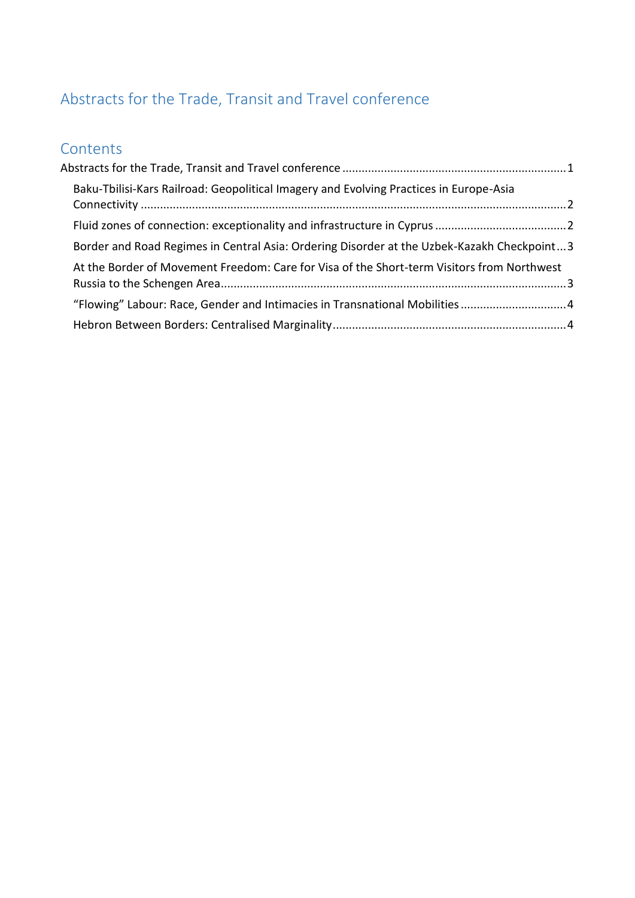# <span id="page-0-0"></span>Abstracts for the Trade, Transit and Travel conference

# **Contents**

| Baku-Tbilisi-Kars Railroad: Geopolitical Imagery and Evolving Practices in Europe-Asia     |  |
|--------------------------------------------------------------------------------------------|--|
|                                                                                            |  |
| Border and Road Regimes in Central Asia: Ordering Disorder at the Uzbek-Kazakh Checkpoint3 |  |
| At the Border of Movement Freedom: Care for Visa of the Short-term Visitors from Northwest |  |
| "Flowing" Labour: Race, Gender and Intimacies in Transnational Mobilities4                 |  |
|                                                                                            |  |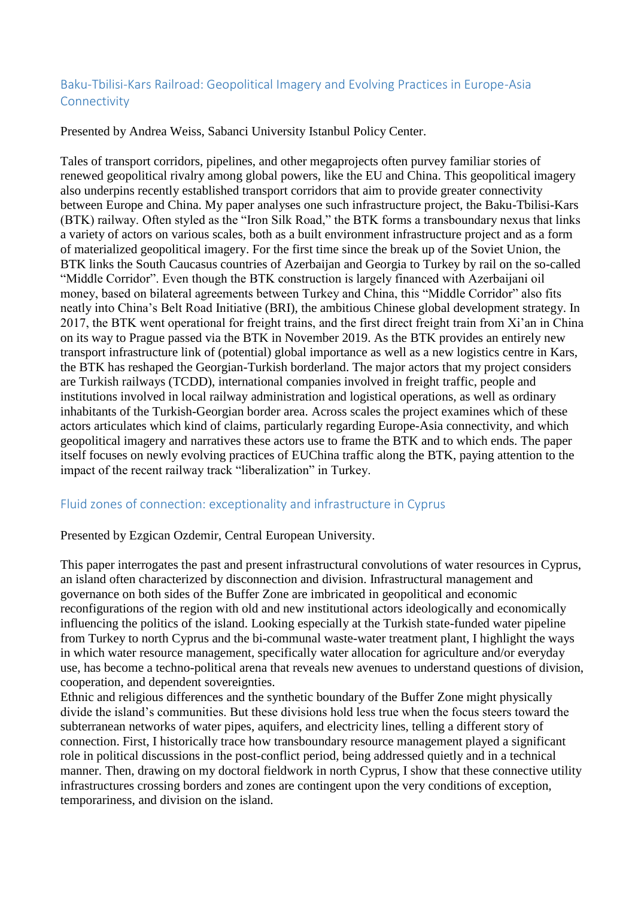#### <span id="page-1-0"></span>Baku-Tbilisi-Kars Railroad: Geopolitical Imagery and Evolving Practices in Europe-Asia Connectivity

Presented by Andrea Weiss, Sabanci University Istanbul Policy Center.

Tales of transport corridors, pipelines, and other megaprojects often purvey familiar stories of renewed geopolitical rivalry among global powers, like the EU and China. This geopolitical imagery also underpins recently established transport corridors that aim to provide greater connectivity between Europe and China. My paper analyses one such infrastructure project, the Baku-Tbilisi-Kars (BTK) railway. Often styled as the "Iron Silk Road," the BTK forms a transboundary nexus that links a variety of actors on various scales, both as a built environment infrastructure project and as a form of materialized geopolitical imagery. For the first time since the break up of the Soviet Union, the BTK links the South Caucasus countries of Azerbaijan and Georgia to Turkey by rail on the so-called "Middle Corridor". Even though the BTK construction is largely financed with Azerbaijani oil money, based on bilateral agreements between Turkey and China, this "Middle Corridor" also fits neatly into China's Belt Road Initiative (BRI), the ambitious Chinese global development strategy. In 2017, the BTK went operational for freight trains, and the first direct freight train from Xi'an in China on its way to Prague passed via the BTK in November 2019. As the BTK provides an entirely new transport infrastructure link of (potential) global importance as well as a new logistics centre in Kars, the BTK has reshaped the Georgian-Turkish borderland. The major actors that my project considers are Turkish railways (TCDD), international companies involved in freight traffic, people and institutions involved in local railway administration and logistical operations, as well as ordinary inhabitants of the Turkish-Georgian border area. Across scales the project examines which of these actors articulates which kind of claims, particularly regarding Europe-Asia connectivity, and which geopolitical imagery and narratives these actors use to frame the BTK and to which ends. The paper itself focuses on newly evolving practices of EUChina traffic along the BTK, paying attention to the impact of the recent railway track "liberalization" in Turkey.

## <span id="page-1-1"></span>Fluid zones of connection: exceptionality and infrastructure in Cyprus

#### Presented by Ezgican Ozdemir, Central European University.

This paper interrogates the past and present infrastructural convolutions of water resources in Cyprus, an island often characterized by disconnection and division. Infrastructural management and governance on both sides of the Buffer Zone are imbricated in geopolitical and economic reconfigurations of the region with old and new institutional actors ideologically and economically influencing the politics of the island. Looking especially at the Turkish state-funded water pipeline from Turkey to north Cyprus and the bi-communal waste-water treatment plant, I highlight the ways in which water resource management, specifically water allocation for agriculture and/or everyday use, has become a techno-political arena that reveals new avenues to understand questions of division, cooperation, and dependent sovereignties.

Ethnic and religious differences and the synthetic boundary of the Buffer Zone might physically divide the island's communities. But these divisions hold less true when the focus steers toward the subterranean networks of water pipes, aquifers, and electricity lines, telling a different story of connection. First, I historically trace how transboundary resource management played a significant role in political discussions in the post-conflict period, being addressed quietly and in a technical manner. Then, drawing on my doctoral fieldwork in north Cyprus, I show that these connective utility infrastructures crossing borders and zones are contingent upon the very conditions of exception, temporariness, and division on the island.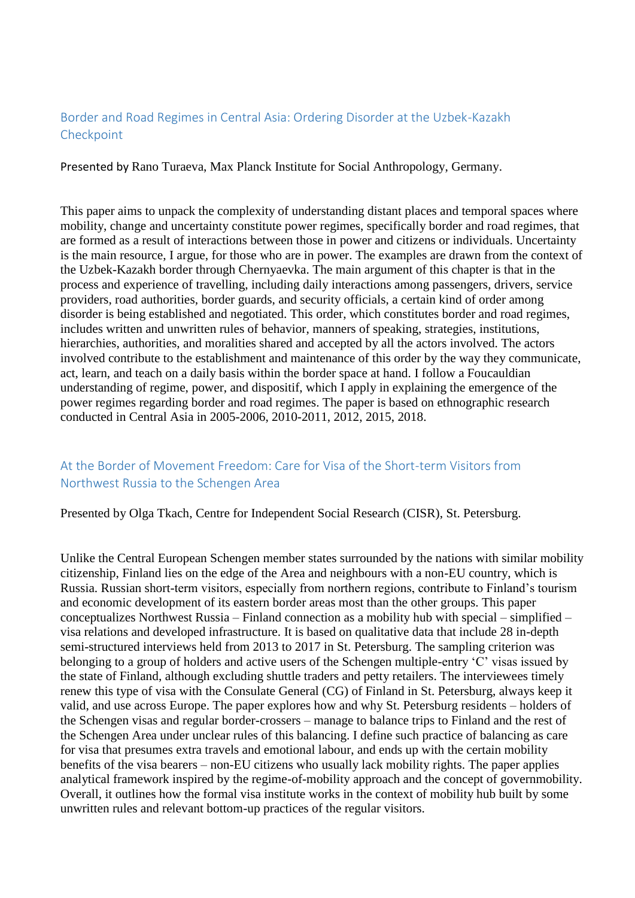#### <span id="page-2-0"></span>Border and Road Regimes in Central Asia: Ordering Disorder at the Uzbek-Kazakh Checkpoint

Presented by Rano Turaeva, Max Planck Institute for Social Anthropology, Germany.

This paper aims to unpack the complexity of understanding distant places and temporal spaces where mobility, change and uncertainty constitute power regimes, specifically border and road regimes, that are formed as a result of interactions between those in power and citizens or individuals. Uncertainty is the main resource, I argue, for those who are in power. The examples are drawn from the context of the Uzbek-Kazakh border through Chernyaevka. The main argument of this chapter is that in the process and experience of travelling, including daily interactions among passengers, drivers, service providers, road authorities, border guards, and security officials, a certain kind of order among disorder is being established and negotiated. This order, which constitutes border and road regimes, includes written and unwritten rules of behavior, manners of speaking, strategies, institutions, hierarchies, authorities, and moralities shared and accepted by all the actors involved. The actors involved contribute to the establishment and maintenance of this order by the way they communicate, act, learn, and teach on a daily basis within the border space at hand. I follow a Foucauldian understanding of regime, power, and dispositif, which I apply in explaining the emergence of the power regimes regarding border and road regimes. The paper is based on ethnographic research conducted in Central Asia in 2005-2006, 2010-2011, 2012, 2015, 2018.

## <span id="page-2-1"></span>At the Border of Movement Freedom: Care for Visa of the Short-term Visitors from Northwest Russia to the Schengen Area

Presented by Olga Tkach, Centre for Independent Social Research (CISR), St. Petersburg.

Unlike the Central European Schengen member states surrounded by the nations with similar mobility citizenship, Finland lies on the edge of the Area and neighbours with a non-EU country, which is Russia. Russian short-term visitors, especially from northern regions, contribute to Finland's tourism and economic development of its eastern border areas most than the other groups. This paper conceptualizes Northwest Russia – Finland connection as a mobility hub with special – simplified – visa relations and developed infrastructure. It is based on qualitative data that include 28 in-depth semi-structured interviews held from 2013 to 2017 in St. Petersburg. The sampling criterion was belonging to a group of holders and active users of the Schengen multiple-entry 'C' visas issued by the state of Finland, although excluding shuttle traders and petty retailers. The interviewees timely renew this type of visa with the Consulate General (CG) of Finland in St. Petersburg, always keep it valid, and use across Europe. The paper explores how and why St. Petersburg residents – holders of the Schengen visas and regular border-crossers – manage to balance trips to Finland and the rest of the Schengen Area under unclear rules of this balancing. I define such practice of balancing as care for visa that presumes extra travels and emotional labour, and ends up with the certain mobility benefits of the visa bearers – non-EU citizens who usually lack mobility rights. The paper applies analytical framework inspired by the regime-of-mobility approach and the concept of governmobility. Overall, it outlines how the formal visa institute works in the context of mobility hub built by some unwritten rules and relevant bottom-up practices of the regular visitors.